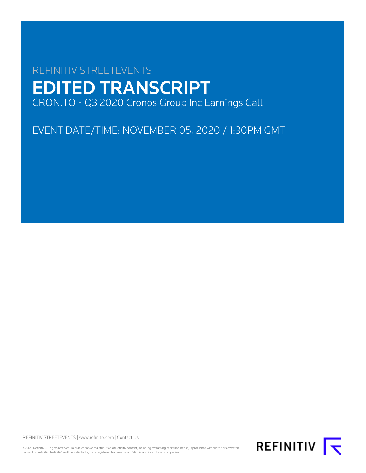# REFINITIV STREETEVENTS EDITED TRANSCRIPT CRON.TO - Q3 2020 Cronos Group Inc Earnings Call

EVENT DATE/TIME: NOVEMBER 05, 2020 / 1:30PM GMT

REFINITIV STREETEVENTS | [www.refinitiv.com](https://www.refinitiv.com/) | [Contact Us](https://www.refinitiv.com/en/contact-us)

©2020 Refinitiv. All rights reserved. Republication or redistribution of Refinitiv content, including by framing or similar means, is prohibited without the prior written consent of Refinitiv. 'Refinitiv' and the Refinitiv logo are registered trademarks of Refinitiv and its affiliated companies.

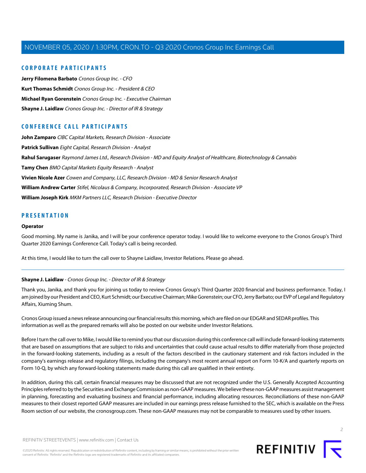# **CORPORATE PARTICIPANTS**

**[Jerry Filomena Barbato](#page-4-0)** Cronos Group Inc. - CFO **[Kurt Thomas Schmidt](#page-2-0)** Cronos Group Inc. - President & CEO **[Michael Ryan Gorenstein](#page-2-1)** Cronos Group Inc. - Executive Chairman **[Shayne J. Laidlaw](#page-1-0)** Cronos Group Inc. - Director of IR & Strategy

# **CONFERENCE CALL PARTICIPANTS**

**[John Zamparo](#page-6-0)** CIBC Capital Markets, Research Division - Associate **[Patrick Sullivan](#page-11-0)** Eight Capital, Research Division - Analyst **[Rahul Sarugaser](#page-9-0)** Raymond James Ltd., Research Division - MD and Equity Analyst of Healthcare, Biotechnology & Cannabis **[Tamy Chen](#page-10-0)** BMO Capital Markets Equity Research - Analyst **[Vivien Nicole Azer](#page-8-0)** Cowen and Company, LLC, Research Division - MD & Senior Research Analyst **[William Andrew Carter](#page-7-0)** Stifel, Nicolaus & Company, Incorporated, Research Division - Associate VP **[William Joseph Kirk](#page-11-1)** MKM Partners LLC, Research Division - Executive Director

# **PRESENTATION**

#### **Operator**

Good morning. My name is Janika, and I will be your conference operator today. I would like to welcome everyone to the Cronos Group's Third Quarter 2020 Earnings Conference Call. Today's call is being recorded.

<span id="page-1-0"></span>At this time, I would like to turn the call over to Shayne Laidlaw, Investor Relations. Please go ahead.

# **Shayne J. Laidlaw** - Cronos Group Inc. - Director of IR & Strategy

Thank you, Janika, and thank you for joining us today to review Cronos Group's Third Quarter 2020 financial and business performance. Today, I am joined by our President and CEO, Kurt Schmidt; our Executive Chairman; Mike Gorenstein; our CFO, Jerry Barbato; our EVP of Legal and Regulatory Affairs, Xiuming Shum.

Cronos Group issued a news release announcing ourfinancial results this morning, which are filed on our EDGAR and SEDAR profiles. This information as well as the prepared remarks will also be posted on our website under Investor Relations.

Before I turn the call over to Mike, I would like to remind you that our discussion during this conference call will include forward-looking statements that are based on assumptions that are subject to risks and uncertainties that could cause actual results to differ materially from those projected in the forward-looking statements, including as a result of the factors described in the cautionary statement and risk factors included in the company's earnings release and regulatory filings, including the company's most recent annual report on Form 10-K/A and quarterly reports on Form 10-Q, by which any forward-looking statements made during this call are qualified in their entirety.

In addition, during this call, certain financial measures may be discussed that are not recognized under the U.S. Generally Accepted Accounting Principles referred to by the Securities and Exchange Commission as non-GAAP measures. We believe these non-GAAP measures assist management in planning, forecasting and evaluating business and financial performance, including allocating resources. Reconciliations of these non-GAAP measures to their closest reported GAAP measures are included in our earnings press release furnished to the SEC, which is available on the Press Room section of our website, the cronosgroup.com. These non-GAAP measures may not be comparable to measures used by other issuers.

©2020 Refinitiv. All rights reserved. Republication or redistribution of Refinitiv content, including by framing or similar means, is prohibited without the prior written consent of Refinitiv. 'Refinitiv' and the Refinitiv logo are registered trademarks of Refinitiv and its affiliated companies.



 $\overline{2}$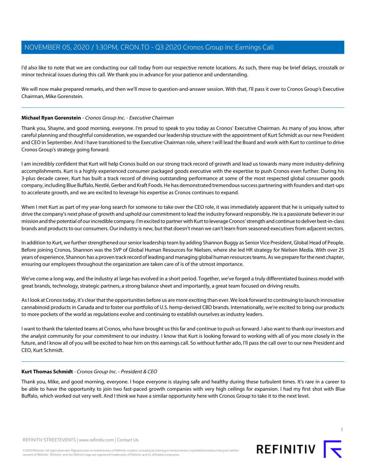I'd also like to note that we are conducting our call today from our respective remote locations. As such, there may be brief delays, crosstalk or minor technical issues during this call. We thank you in advance for your patience and understanding.

We will now make prepared remarks, and then we'll move to question-and-answer session. With that, I'll pass it over to Cronos Group's Executive Chairman, Mike Gorenstein.

## <span id="page-2-1"></span>**Michael Ryan Gorenstein** - Cronos Group Inc. - Executive Chairman

Thank you, Shayne, and good morning, everyone. I'm proud to speak to you today as Cronos' Executive Chairman. As many of you know, after careful planning and thoughtful consideration, we expanded our leadership structure with the appointment of Kurt Schmidt as our new President and CEO in September. And I have transitioned to the Executive Chairman role, where I will lead the Board and work with Kurt to continue to drive Cronos Group's strategy going forward.

I am incredibly confident that Kurt will help Cronos build on our strong track record of growth and lead us towards many more industry-defining accomplishments. Kurt is a highly experienced consumer packaged goods executive with the expertise to push Cronos even further. During his 3-plus decade career, Kurt has built a track record of driving outstanding performance at some of the most respected global consumer goods company, including Blue Buffalo, Nestlé, Gerber and Kraft Foods. He has demonstrated tremendous success partnering with founders and start-ups to accelerate growth, and we are excited to leverage his expertise as Cronos continues to expand.

When I met Kurt as part of my year-long search for someone to take over the CEO role, it was immediately apparent that he is uniquely suited to drive the company's next phase of growth and uphold our commitment to lead the industry forward responsibly. He is a passionate believer in our mission and the potential of our incredible company. I'm excited to partner with Kurt to leverage Cronos' strength and continue to deliver best-in-class brands and products to our consumers. Our industry is new, but that doesn't mean we can't learn from seasoned executives from adjacent sectors.

In addition to Kurt, we further strengthened our senior leadership team by adding Shannon Buggy as Senior Vice President, Global Head of People. Before joining Cronos, Shannon was the SVP of Global Human Resources for Nielsen, where she led HR strategy for Nielsen Media. With over 25 years of experience, Shannon has a proven track record of leading and managing global human resources teams. As we prepare for the next chapter, ensuring our employees throughout the organization are taken care of is of the utmost importance.

We've come a long way, and the industry at large has evolved in a short period. Together, we've forged a truly differentiated business model with great brands, technology, strategic partners, a strong balance sheet and importantly, a great team focused on driving results.

As I look at Cronos today, it's clear that the opportunities before us are more exciting than ever. We look forward to continuing to launch innovative cannabinoid products in Canada and to foster our portfolio of U.S. hemp-derived CBD brands. Internationally, we're excited to bring our products to more pockets of the world as regulations evolve and continuing to establish ourselves as industry leaders.

<span id="page-2-0"></span>I want to thank the talented teams at Cronos, who have brought us this far and continue to push us forward. I also want to thank our investors and the analyst community for your commitment to our industry. I know that Kurt is looking forward to working with all of you more closely in the future, and I know all of you will be excited to hear him on this earnings call. So without further ado, I'll pass the call over to our new President and CEO, Kurt Schmidt.

#### **Kurt Thomas Schmidt**- Cronos Group Inc. - President & CEO

Thank you, Mike, and good morning, everyone. I hope everyone is staying safe and healthy during these turbulent times. It's rare in a career to be able to have the opportunity to join two fast-paced growth companies with very high ceilings for expansion. I had my first shot with Blue Buffalo, which worked out very well. And I think we have a similar opportunity here with Cronos Group to take it to the next level.

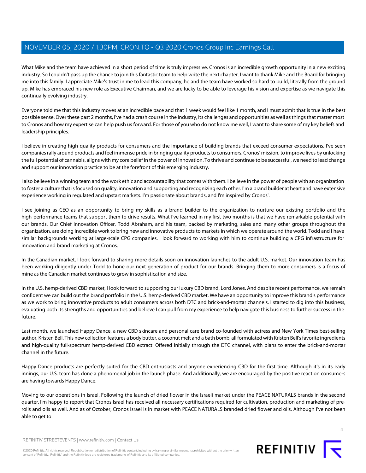What Mike and the team have achieved in a short period of time is truly impressive. Cronos is an incredible growth opportunity in a new exciting industry. So I couldn't pass up the chance to join this fantastic team to help write the next chapter. I want to thank Mike and the Board for bringing me into this family. I appreciate Mike's trust in me to lead this company, he and the team have worked so hard to build, literally from the ground up. Mike has embraced his new role as Executive Chairman, and we are lucky to be able to leverage his vision and expertise as we navigate this continually evolving industry.

Everyone told me that this industry moves at an incredible pace and that 1 week would feel like 1 month, and I must admit that is true in the best possible sense. Over these past 2 months, I've had a crash course in the industry, its challenges and opportunities as well as things that matter most to Cronos and how my expertise can help push us forward. For those of you who do not know me well, I want to share some of my key beliefs and leadership principles.

I believe in creating high-quality products for consumers and the importance of building brands that exceed consumer expectations. I've seen companies rally around products and feel immense pride in bringing quality products to consumers. Cronos' mission, to improve lives by unlocking the full potential of cannabis, aligns with my core belief in the power of innovation. To thrive and continue to be successful, we need to lead change and support our innovation practice to be at the forefront of this emerging industry.

I also believe in a winning team and the work ethic and accountability that comes with them. I believe in the power of people with an organization to foster a culture that is focused on quality, innovation and supporting and recognizing each other. I'm a brand builder at heart and have extensive experience working in regulated and upstart markets. I'm passionate about brands, and I'm inspired by Cronos'.

I see joining as CEO as an opportunity to bring my skills as a brand builder to the organization to nurture our existing portfolio and the high-performance teams that support them to drive results. What I've learned in my first two months is that we have remarkable potential with our brands. Our Chief Innovation Officer, Todd Abraham, and his team, backed by marketing, sales and many other groups throughout the organization, are doing incredible work to bring new and innovative products to markets in which we operate around the world. Todd and I have similar backgrounds working at large-scale CPG companies. I look forward to working with him to continue building a CPG infrastructure for innovation and brand marketing at Cronos.

In the Canadian market, I look forward to sharing more details soon on innovation launches to the adult U.S. market. Our innovation team has been working diligently under Todd to hone our next generation of product for our brands. Bringing them to more consumers is a focus of mine as the Canadian market continues to grow in sophistication and size.

In the U.S. hemp-derived CBD market, I look forward to supporting our luxury CBD brand, Lord Jones. And despite recent performance, we remain confident we can build out the brand portfolio in the U.S. hemp-derived CBD market. We have an opportunity to improve this brand's performance as we work to bring innovative products to adult consumers across both DTC and brick-and-mortar channels. I started to dig into this business, evaluating both its strengths and opportunities and believe I can pull from my experience to help navigate this business to further success in the future.

Last month, we launched Happy Dance, a new CBD skincare and personal care brand co-founded with actress and New York Times best-selling author, Kristen Bell. This new collection features a body butter, a coconut melt and a bath bomb, all formulated with Kristen Bell's favorite ingredients and high-quality full-spectrum hemp-derived CBD extract. Offered initially through the DTC channel, with plans to enter the brick-and-mortar channel in the future.

Happy Dance products are perfectly suited for the CBD enthusiasts and anyone experiencing CBD for the first time. Although it's in its early innings, our U.S. team has done a phenomenal job in the launch phase. And additionally, we are encouraged by the positive reaction consumers are having towards Happy Dance.

Moving to our operations in Israel. Following the launch of dried flower in the Israeli market under the PEACE NATURALS brands in the second quarter, I'm happy to report that Cronos Israel has received all necessary certifications required for cultivation, production and marketing of prerolls and oils as well. And as of October, Cronos Israel is in market with PEACE NATURALS branded dried flower and oils. Although I've not been able to get to



 $\Delta$ 

REFINITIV STREETEVENTS | [www.refinitiv.com](https://www.refinitiv.com/) | [Contact Us](https://www.refinitiv.com/en/contact-us)

©2020 Refinitiv. All rights reserved. Republication or redistribution of Refinitiv content, including by framing or similar means, is prohibited without the prior written consent of Refinitiv. 'Refinitiv' and the Refinitiv logo are registered trademarks of Refinitiv and its affiliated companies.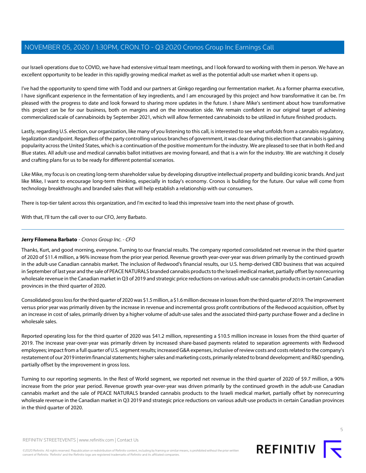our Israeli operations due to COVID, we have had extensive virtual team meetings, and I look forward to working with them in person. We have an excellent opportunity to be leader in this rapidly growing medical market as well as the potential adult-use market when it opens up.

I've had the opportunity to spend time with Todd and our partners at Ginkgo regarding our fermentation market. As a former pharma executive, I have significant experience in the fermentation of key ingredients, and I am encouraged by this project and how transformative it can be. I'm pleased with the progress to date and look forward to sharing more updates in the future. I share Mike's sentiment about how transformative this project can be for our business, both on margins and on the innovation side. We remain confident in our original target of achieving commercialized scale of cannabinoids by September 2021, which will allow fermented cannabinoids to be utilized in future finished products.

Lastly, regarding U.S. election, our organization, like many of you listening to this call, is interested to see what unfolds from a cannabis regulatory, legalization standpoint. Regardless of the party controlling various branches of government, it was clear during this election that cannabis is gaining popularity across the United States, which is a continuation of the positive momentum for the industry. We are pleased to see that in both Red and Blue states. All adult-use and medical cannabis ballot initiatives are moving forward, and that is a win for the industry. We are watching it closely and crafting plans for us to be ready for different potential scenarios.

Like Mike, my focus is on creating long-term shareholder value by developing disruptive intellectual property and building iconic brands. And just like Mike, I want to encourage long-term thinking, especially in today's economy. Cronos is building for the future. Our value will come from technology breakthroughs and branded sales that will help establish a relationship with our consumers.

There is top-tier talent across this organization, and I'm excited to lead this impressive team into the next phase of growth.

<span id="page-4-0"></span>With that, I'll turn the call over to our CFO, Jerry Barbato.

# **Jerry Filomena Barbato** - Cronos Group Inc. - CFO

Thanks, Kurt, and good morning, everyone. Turning to our financial results. The company reported consolidated net revenue in the third quarter of 2020 of \$11.4 million, a 96% increase from the prior year period. Revenue growth year-over-year was driven primarily by the continued growth in the adult-use Canadian cannabis market. The inclusion of Redwood's financial results, our U.S. hemp-derived CBD business that was acquired in September of last year and the sale of PEACE NATURALS branded cannabis products to the Israeli medical market, partially offset by nonrecurring wholesale revenue in the Canadian market in Q3 of 2019 and strategic price reductions on various adult-use cannabis products in certain Canadian provinces in the third quarter of 2020.

Consolidated gross loss for the third quarter of 2020 was \$1.5 million, a \$1.6 million decrease in losses from the third quarter of 2019. The improvement versus prior year was primarily driven by the increase in revenue and incremental gross profit contributions of the Redwood acquisition, offset by an increase in cost of sales, primarily driven by a higher volume of adult-use sales and the associated third-party purchase flower and a decline in wholesale sales.

Reported operating loss for the third quarter of 2020 was \$41.2 million, representing a \$10.5 million increase in losses from the third quarter of 2019. The increase year-over-year was primarily driven by increased share-based payments related to separation agreements with Redwood employees; impact from a full quarter of U.S. segment results; increased G&A expenses, inclusive of review costs and costs related to the company's restatement of our 2019 interim financial statements; higher sales and marketing costs, primarily related to brand development; and R&D spending, partially offset by the improvement in gross loss.

Turning to our reporting segments. In the Rest of World segment, we reported net revenue in the third quarter of 2020 of \$9.7 million, a 90% increase from the prior year period. Revenue growth year-over-year was driven primarily by the continued growth in the adult-use Canadian cannabis market and the sale of PEACE NATURALS branded cannabis products to the Israeli medical market, partially offset by nonrecurring wholesale revenue in the Canadian market in Q3 2019 and strategic price reductions on various adult-use products in certain Canadian provinces in the third quarter of 2020.

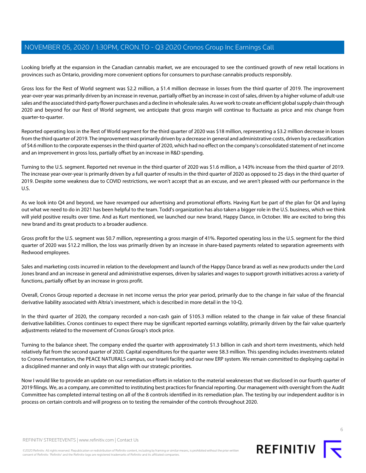Looking briefly at the expansion in the Canadian cannabis market, we are encouraged to see the continued growth of new retail locations in provinces such as Ontario, providing more convenient options for consumers to purchase cannabis products responsibly.

Gross loss for the Rest of World segment was \$2.2 million, a \$1.4 million decrease in losses from the third quarter of 2019. The improvement year-over-year was primarily driven by an increase in revenue, partially offset by an increase in cost of sales, driven by a higher volume of adult-use sales and the associated third-party flower purchases and a decline in wholesale sales. As we work to create an efficient global supply chain through 2020 and beyond for our Rest of World segment, we anticipate that gross margin will continue to fluctuate as price and mix change from quarter-to-quarter.

Reported operating loss in the Rest of World segment for the third quarter of 2020 was \$18 million, representing a \$3.2 million decrease in losses from the third quarter of 2019. The improvement was primarily driven by a decrease in general and administrative costs, driven by a reclassification of \$4.6 million to the corporate expenses in the third quarter of 2020, which had no effect on the company's consolidated statement of net income and an improvement in gross loss, partially offset by an increase in R&D spending.

Turning to the U.S. segment. Reported net revenue in the third quarter of 2020 was \$1.6 million, a 143% increase from the third quarter of 2019. The increase year-over-year is primarily driven by a full quarter of results in the third quarter of 2020 as opposed to 25 days in the third quarter of 2019. Despite some weakness due to COVID restrictions, we won't accept that as an excuse, and we aren't pleased with our performance in the U.S.

As we look into Q4 and beyond, we have revamped our advertising and promotional efforts. Having Kurt be part of the plan for Q4 and laying out what we need to do in 2021 has been helpful to the team. Todd's organization has also taken a bigger role in the U.S. business, which we think will yield positive results over time. And as Kurt mentioned, we launched our new brand, Happy Dance, in October. We are excited to bring this new brand and its great products to a broader audience.

Gross profit for the U.S. segment was \$0.7 million, representing a gross margin of 41%. Reported operating loss in the U.S. segment for the third quarter of 2020 was \$12.2 million, the loss was primarily driven by an increase in share-based payments related to separation agreements with Redwood employees.

Sales and marketing costs incurred in relation to the development and launch of the Happy Dance brand as well as new products under the Lord Jones brand and an increase in general and administrative expenses, driven by salaries and wages to support growth initiatives across a variety of functions, partially offset by an increase in gross profit.

Overall, Cronos Group reported a decrease in net income versus the prior year period, primarily due to the change in fair value of the financial derivative liability associated with Altria's investment, which is described in more detail in the 10-Q.

In the third quarter of 2020, the company recorded a non-cash gain of \$105.3 million related to the change in fair value of these financial derivative liabilities. Cronos continues to expect there may be significant reported earnings volatility, primarily driven by the fair value quarterly adjustments related to the movement of Cronos Group's stock price.

Turning to the balance sheet. The company ended the quarter with approximately \$1.3 billion in cash and short-term investments, which held relatively flat from the second quarter of 2020. Capital expenditures for the quarter were \$8.3 million. This spending includes investments related to Cronos Fermentation, the PEACE NATURALS campus, our Israeli facility and our new ERP system. We remain committed to deploying capital in a disciplined manner and only in ways that align with our strategic priorities.

Now I would like to provide an update on our remediation efforts in relation to the material weaknesses that we disclosed in our fourth quarter of 2019 filings. We, as a company, are committed to instituting best practices for financial reporting. Our management with oversight from the Audit Committee has completed internal testing on all of the 8 controls identified in its remediation plan. The testing by our independent auditor is in process on certain controls and will progress on to testing the remainder of the controls throughout 2020.



©2020 Refinitiv. All rights reserved. Republication or redistribution of Refinitiv content, including by framing or similar means, is prohibited without the prior written consent of Refinitiv. 'Refinitiv' and the Refinitiv logo are registered trademarks of Refinitiv and its affiliated companies.



REFINITIV **I**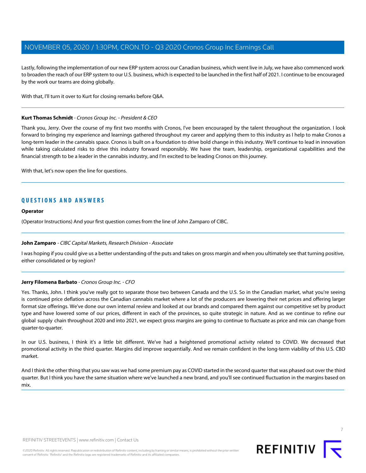Lastly, following the implementation of our new ERP system across our Canadian business, which went live in July, we have also commenced work to broaden the reach of our ERP system to our U.S. business, which is expected to be launched in the first half of 2021. I continue to be encouraged by the work our teams are doing globally.

With that, I'll turn it over to Kurt for closing remarks before Q&A.

#### **Kurt Thomas Schmidt**- Cronos Group Inc. - President & CEO

Thank you, Jerry. Over the course of my first two months with Cronos, I've been encouraged by the talent throughout the organization. I look forward to bringing my experience and learnings gathered throughout my career and applying them to this industry as I help to make Cronos a long-term leader in the cannabis space. Cronos is built on a foundation to drive bold change in this industry. We'll continue to lead in innovation while taking calculated risks to drive this industry forward responsibly. We have the team, leadership, organizational capabilities and the financial strength to be a leader in the cannabis industry, and I'm excited to be leading Cronos on this journey.

With that, let's now open the line for questions.

# **QUESTIONS AND ANSWERS**

#### **Operator**

<span id="page-6-0"></span>(Operator Instructions) And your first question comes from the line of John Zamparo of CIBC.

# **John Zamparo** - CIBC Capital Markets, Research Division - Associate

I was hoping if you could give us a better understanding of the puts and takes on gross margin and when you ultimately see that turning positive, either consolidated or by region?

# **Jerry Filomena Barbato** - Cronos Group Inc. - CFO

Yes. Thanks, John. I think you've really got to separate those two between Canada and the U.S. So in the Canadian market, what you're seeing is continued price deflation across the Canadian cannabis market where a lot of the producers are lowering their net prices and offering larger format size offerings. We've done our own internal review and looked at our brands and compared them against our competitive set by product type and have lowered some of our prices, different in each of the provinces, so quite strategic in nature. And as we continue to refine our global supply chain throughout 2020 and into 2021, we expect gross margins are going to continue to fluctuate as price and mix can change from quarter-to-quarter.

In our U.S. business, I think it's a little bit different. We've had a heightened promotional activity related to COVID. We decreased that promotional activity in the third quarter. Margins did improve sequentially. And we remain confident in the long-term viability of this U.S. CBD market.

And I think the other thing that you saw was we had some premium pay as COVID started in the second quarter that was phased out over the third quarter. But I think you have the same situation where we've launched a new brand, and you'll see continued fluctuation in the margins based on mix.

7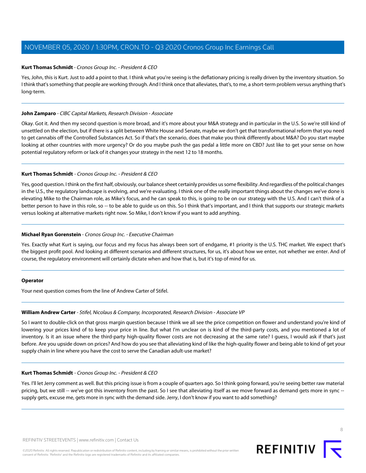## **Kurt Thomas Schmidt**- Cronos Group Inc. - President & CEO

Yes, John, this is Kurt. Just to add a point to that. I think what you're seeing is the deflationary pricing is really driven by the inventory situation. So I think that's something that people are working through. And I think once that alleviates, that's, to me, a short-term problem versus anything that's long-term.

## **John Zamparo** - CIBC Capital Markets, Research Division - Associate

Okay. Got it. And then my second question is more broad, and it's more about your M&A strategy and in particular in the U.S. So we're still kind of unsettled on the election, but if there is a split between White House and Senate, maybe we don't get that transformational reform that you need to get cannabis off the Controlled Substances Act. So if that's the scenario, does that make you think differently about M&A? Do you start maybe looking at other countries with more urgency? Or do you maybe push the gas pedal a little more on CBD? Just like to get your sense on how potential regulatory reform or lack of it changes your strategy in the next 12 to 18 months.

# **Kurt Thomas Schmidt** - Cronos Group Inc. - President & CEO

Yes, good question. I think on the first half, obviously, our balance sheet certainly provides us some flexibility. And regardless of the political changes in the U.S., the regulatory landscape is evolving, and we're evaluating. I think one of the really important things about the changes we've done is elevating Mike to the Chairman role, as Mike's focus, and he can speak to this, is going to be on our strategy with the U.S. And I can't think of a better person to have in this role, so -- to be able to guide us on this. So I think that's important, and I think that supports our strategic markets versus looking at alternative markets right now. So Mike, I don't know if you want to add anything.

# **Michael Ryan Gorenstein** - Cronos Group Inc. - Executive Chairman

Yes. Exactly what Kurt is saying, our focus and my focus has always been sort of endgame, #1 priority is the U.S. THC market. We expect that's the biggest profit pool. And looking at different scenarios and different structures, for us, it's about how we enter, not whether we enter. And of course, the regulatory environment will certainly dictate when and how that is, but it's top of mind for us.

#### <span id="page-7-0"></span>**Operator**

Your next question comes from the line of Andrew Carter of Stifel.

# **William Andrew Carter**- Stifel, Nicolaus & Company, Incorporated, Research Division - Associate VP

So I want to double-click on that gross margin question because I think we all see the price competition on flower and understand you're kind of lowering your prices kind of to keep your price in line. But what I'm unclear on is kind of the third-party costs, and you mentioned a lot of inventory. Is it an issue where the third-party high-quality flower costs are not decreasing at the same rate? I guess, I would ask if that's just before. Are you upside down on prices? And how do you see that alleviating kind of like the high-quality flower and being able to kind of get your supply chain in line where you have the cost to serve the Canadian adult-use market?

#### **Kurt Thomas Schmidt** - Cronos Group Inc. - President & CEO

Yes. I'll let Jerry comment as well. But this pricing issue is from a couple of quarters ago. So I think going forward, you're seeing better raw material pricing, but we still -- we've got this inventory from the past. So I see that alleviating itself as we move forward as demand gets more in sync -supply gets, excuse me, gets more in sync with the demand side. Jerry, I don't know if you want to add something?

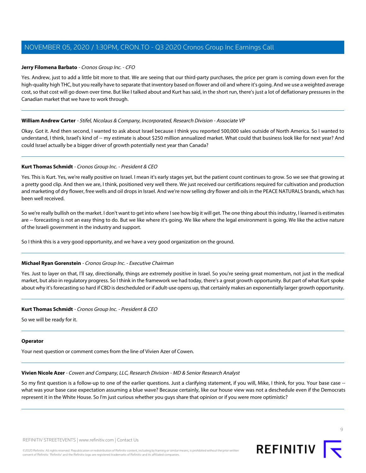# **Jerry Filomena Barbato** - Cronos Group Inc. - CFO

Yes. Andrew, just to add a little bit more to that. We are seeing that our third-party purchases, the price per gram is coming down even for the high-quality high THC, but you really have to separate that inventory based on flower and oil and where it's going. And we use a weighted average cost, so that cost will go down over time. But like I talked about and Kurt has said, in the short run, there's just a lot of deflationary pressures in the Canadian market that we have to work through.

## **William Andrew Carter** - Stifel, Nicolaus & Company, Incorporated, Research Division - Associate VP

Okay. Got it. And then second, I wanted to ask about Israel because I think you reported 500,000 sales outside of North America. So I wanted to understand, I think, Israel's kind of -- my estimate is about \$250 million annualized market. What could that business look like for next year? And could Israel actually be a bigger driver of growth potentially next year than Canada?

# **Kurt Thomas Schmidt** - Cronos Group Inc. - President & CEO

Yes. This is Kurt. Yes, we're really positive on Israel. I mean it's early stages yet, but the patient count continues to grow. So we see that growing at a pretty good clip. And then we are, I think, positioned very well there. We just received our certifications required for cultivation and production and marketing of dry flower, free wells and oil drops in Israel. And we're now selling dry flower and oils in the PEACE NATURALS brands, which has been well received.

So we're really bullish on the market. I don't want to get into where I see how big it will get. The one thing about this industry, I learned is estimates are -- forecasting is not an easy thing to do. But we like where it's going. We like where the legal environment is going. We like the active nature of the Israeli government in the industry and support.

So I think this is a very good opportunity, and we have a very good organization on the ground.

# **Michael Ryan Gorenstein** - Cronos Group Inc. - Executive Chairman

Yes. Just to layer on that, I'll say, directionally, things are extremely positive in Israel. So you're seeing great momentum, not just in the medical market, but also in regulatory progress. So I think in the framework we had today, there's a great growth opportunity. But part of what Kurt spoke about why it's forecasting so hard if CBD is descheduled or if adult-use opens up, that certainly makes an exponentially larger growth opportunity.

# **Kurt Thomas Schmidt** - Cronos Group Inc. - President & CEO

So we will be ready for it.

#### <span id="page-8-0"></span>**Operator**

Your next question or comment comes from the line of Vivien Azer of Cowen.

# **Vivien Nicole Azer**- Cowen and Company, LLC, Research Division - MD & Senior Research Analyst

So my first question is a follow-up to one of the earlier questions. Just a clarifying statement, if you will, Mike, I think, for you. Your base case -what was your base case expectation assuming a blue wave? Because certainly, like our house view was not a deschedule even if the Democrats represent it in the White House. So I'm just curious whether you guys share that opinion or if you were more optimistic?

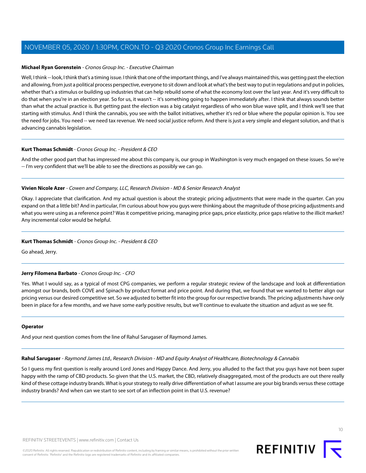## **Michael Ryan Gorenstein** - Cronos Group Inc. - Executive Chairman

Well, I think -- look, I think that's a timing issue. I think that one of the important things, and I've always maintained this, was getting past the election and allowing, from just a political process perspective, everyone to sit down and look at what's the best way to put in regulations and put in policies, whether that's a stimulus or building up industries that can help rebuild some of what the economy lost over the last year. And it's very difficult to do that when you're in an election year. So for us, it wasn't -- it's something going to happen immediately after. I think that always sounds better than what the actual practice is. But getting past the election was a big catalyst regardless of who won blue wave split, and I think we'll see that starting with stimulus. And I think the cannabis, you see with the ballot initiatives, whether it's red or blue where the popular opinion is. You see the need for jobs. You need -- we need tax revenue. We need social justice reform. And there is just a very simple and elegant solution, and that is advancing cannabis legislation.

## **Kurt Thomas Schmidt**- Cronos Group Inc. - President & CEO

And the other good part that has impressed me about this company is, our group in Washington is very much engaged on these issues. So we're -- I'm very confident that we'll be able to see the directions as possibly we can go.

## **Vivien Nicole Azer** - Cowen and Company, LLC, Research Division - MD & Senior Research Analyst

Okay. I appreciate that clarification. And my actual question is about the strategic pricing adjustments that were made in the quarter. Can you expand on that a little bit? And in particular, I'm curious about how you guys were thinking about the magnitude of those pricing adjustments and what you were using as a reference point? Was it competitive pricing, managing price gaps, price elasticity, price gaps relative to the illicit market? Any incremental color would be helpful.

# **Kurt Thomas Schmidt** - Cronos Group Inc. - President & CEO

Go ahead, Jerry.

#### **Jerry Filomena Barbato** - Cronos Group Inc. - CFO

Yes. What I would say, as a typical of most CPG companies, we perform a regular strategic review of the landscape and look at differentiation amongst our brands, both COVE and Spinach by product format and price point. And during that, we found that we wanted to better align our pricing versus our desired competitive set. So we adjusted to better fit into the group for our respective brands. The pricing adjustments have only been in place for a few months, and we have some early positive results, but we'll continue to evaluate the situation and adjust as we see fit.

#### <span id="page-9-0"></span>**Operator**

And your next question comes from the line of Rahul Sarugaser of Raymond James.

**Rahul Sarugaser** - Raymond James Ltd., Research Division - MD and Equity Analyst of Healthcare, Biotechnology & Cannabis

So I guess my first question is really around Lord Jones and Happy Dance. And Jerry, you alluded to the fact that you guys have not been super happy with the ramp of CBD products. So given that the U.S. market, the CBD, relatively disaggregated, most of the products are out there really kind of these cottage industry brands. What is your strategy to really drive differentiation of what I assume are your big brands versus these cottage industry brands? And when can we start to see sort of an inflection point in that U.S. revenue?

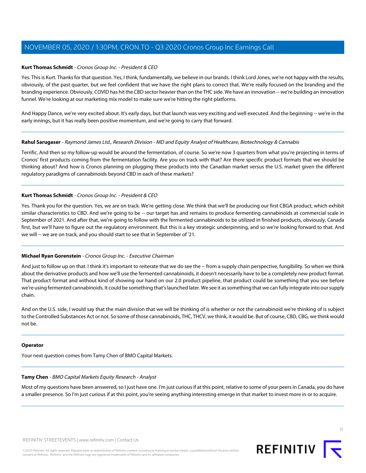## **Kurt Thomas Schmidt** - Cronos Group Inc. - President & CEO

Yes. This is Kurt. Thanks for that question. Yes, I think, fundamentally, we believe in our brands. I think Lord Jones, we're not happy with the results, obviously, of the past quarter, but we feel confident that we have the right plans to correct that. We're really focused on the branding and the branding experience. Obviously, COVID has hit the CBD sector heavier than on the THC side. We have an innovation -- we're building an innovation funnel. We're looking at our marketing mix model to make sure we're hitting the right platforms.

And Happy Dance, we're very excited about. It's early days, but that launch was very exciting and well executed. And the beginning -- we're in the early innings, but it has really been positive momentum, and we're going to carry that forward.

## **Rahul Sarugaser** - Raymond James Ltd., Research Division - MD and Equity Analyst of Healthcare, Biotechnology & Cannabis

Terrific. And then so my follow-up would be around the fermentation, of course. So we're now 3 quarters from what you're projecting in terms of Cronos' first products coming from the fermentation facility. Are you on track with that? Are there specific product formats that we should be thinking about? And how is Cronos planning on plugging these products into the Canadian market versus the U.S. market given the different regulatory paradigms of cannabinoids beyond CBD in each of these markets?

## **Kurt Thomas Schmidt** - Cronos Group Inc. - President & CEO

Yes. Thank you for the question. Yes, we are on track. We're getting close. We think that we'll be producing our first CBGA product, which exhibit similar characteristics to CBD. And we're going to be -- our target has and remains to produce fermenting cannabinoids at commercial scale in September of 2021. And after that, we're going to follow with the fermented cannabinoids to be utilized in finished products, obviously, Canada first, but we'll have to figure out the regulatory environment. But this is a key strategic underpinning, and so we're looking forward to that. And we will -- we are on track, and you should start to see that in September of '21.

# **Michael Ryan Gorenstein** - Cronos Group Inc. - Executive Chairman

And just to follow up on that. I think it's important to reiterate that we do see the -- from a supply chain perspective, fungibility. So when we think about the derivative products and how we'll use the fermented cannabinoids, it doesn't necessarily have to be a completely new product format. That product format and without kind of showing our hand on our 2.0 product pipeline, that product could be something that you see before we're using fermented cannabinoids. It could be something that's launched later. We see it as something that we can fully integrate into our supply chain.

And on the U.S. side, I would say that the main division that we will be thinking of is whether or not the cannabinoid we're thinking of is subject to the Controlled Substances Act or not. So some of those cannabinoids, THC, THCV, we think, it would be. But of course, CBD, CBG, we think would not be.

#### <span id="page-10-0"></span>**Operator**

Your next question comes from Tamy Chen of BMO Capital Markets.

# **Tamy Chen** - BMO Capital Markets Equity Research - Analyst

Most of my questions have been answered, so I just have one. I'm just curious if at this point, relative to some of your peers in Canada, you do have a smaller presence. So I'm just curious if at this point, you're seeing anything interesting emerge in that market to invest more in or to acquire.

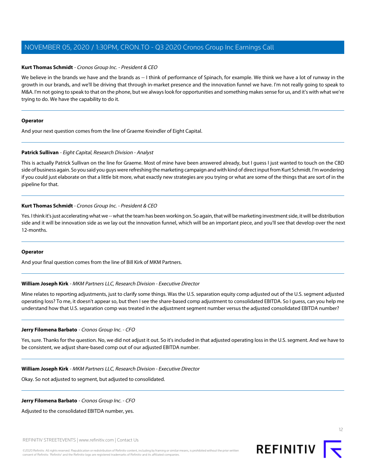## **Kurt Thomas Schmidt** - Cronos Group Inc. - President & CEO

We believe in the brands we have and the brands as -- I think of performance of Spinach, for example. We think we have a lot of runway in the growth in our brands, and we'll be driving that through in-market presence and the innovation funnel we have. I'm not really going to speak to M&A. I'm not going to speak to that on the phone, but we always look for opportunities and something makes sense for us, and it's with what we're trying to do. We have the capability to do it.

#### **Operator**

<span id="page-11-0"></span>And your next question comes from the line of Graeme Kreindler of Eight Capital.

## **Patrick Sullivan** - Eight Capital, Research Division - Analyst

This is actually Patrick Sullivan on the line for Graeme. Most of mine have been answered already, but I guess I just wanted to touch on the CBD side of business again. So you said you guys were refreshing the marketing campaign and with kind of direct input from Kurt Schmidt. I'm wondering if you could just elaborate on that a little bit more, what exactly new strategies are you trying or what are some of the things that are sort of in the pipeline for that.

## **Kurt Thomas Schmidt**- Cronos Group Inc. - President & CEO

Yes. I think it's just accelerating what we -- what the team has been working on. So again, that will be marketing investment side, it will be distribution side and it will be innovation side as we lay out the innovation funnel, which will be an important piece, and you'll see that develop over the next 12-months.

#### <span id="page-11-1"></span>**Operator**

And your final question comes from the line of Bill Kirk of MKM Partners.

#### **William Joseph Kirk** - MKM Partners LLC, Research Division - Executive Director

Mine relates to reporting adjustments, just to clarify some things. Was the U.S. separation equity comp adjusted out of the U.S. segment adjusted operating loss? To me, it doesn't appear so, but then I see the share-based comp adjustment to consolidated EBITDA. So I guess, can you help me understand how that U.S. separation comp was treated in the adjustment segment number versus the adjusted consolidated EBITDA number?

#### **Jerry Filomena Barbato** - Cronos Group Inc. - CFO

Yes, sure. Thanks for the question. No, we did not adjust it out. So it's included in that adjusted operating loss in the U.S. segment. And we have to be consistent, we adjust share-based comp out of our adjusted EBITDA number.

#### **William Joseph Kirk** - MKM Partners LLC, Research Division - Executive Director

Okay. So not adjusted to segment, but adjusted to consolidated.

#### **Jerry Filomena Barbato** - Cronos Group Inc. - CFO

Adjusted to the consolidated EBITDA number, yes.